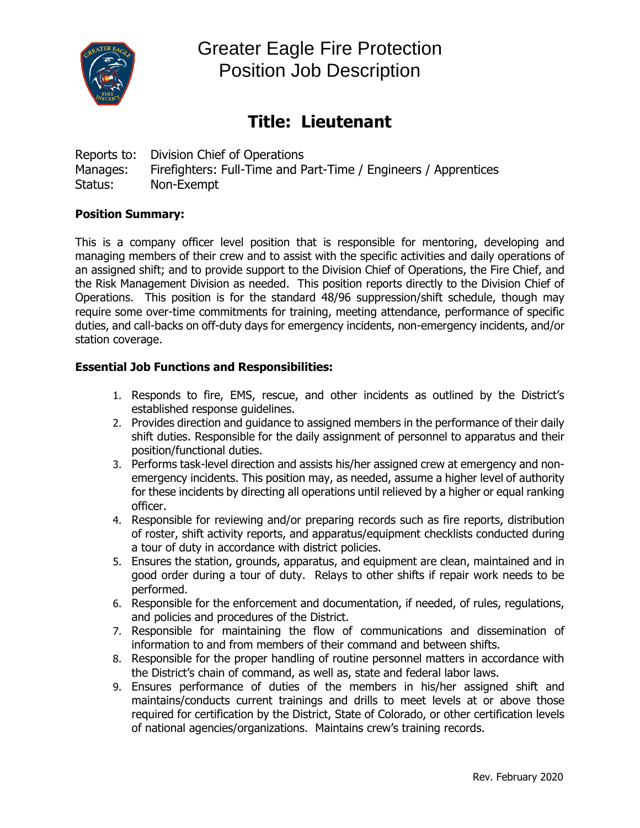

Greater Eagle Fire Protection Position Job Description

## **Title: Lieutenant**

Reports to: Division Chief of Operations Manages: Firefighters: Full-Time and Part-Time / Engineers / Apprentices Status: Non-Exempt

#### **Position Summary:**

This is a company officer level position that is responsible for mentoring, developing and managing members of their crew and to assist with the specific activities and daily operations of an assigned shift; and to provide support to the Division Chief of Operations, the Fire Chief, and the Risk Management Division as needed. This position reports directly to the Division Chief of Operations. This position is for the standard 48/96 suppression/shift schedule, though may require some over-time commitments for training, meeting attendance, performance of specific duties, and call-backs on off-duty days for emergency incidents, non-emergency incidents, and/or station coverage.

#### **Essential Job Functions and Responsibilities:**

- 1. Responds to fire, EMS, rescue, and other incidents as outlined by the District's established response guidelines.
- 2. Provides direction and guidance to assigned members in the performance of their daily shift duties. Responsible for the daily assignment of personnel to apparatus and their position/functional duties.
- 3. Performs task-level direction and assists his/her assigned crew at emergency and nonemergency incidents. This position may, as needed, assume a higher level of authority for these incidents by directing all operations until relieved by a higher or equal ranking officer.
- 4. Responsible for reviewing and/or preparing records such as fire reports, distribution of roster, shift activity reports, and apparatus/equipment checklists conducted during a tour of duty in accordance with district policies.
- 5. Ensures the station, grounds, apparatus, and equipment are clean, maintained and in good order during a tour of duty. Relays to other shifts if repair work needs to be performed.
- 6. Responsible for the enforcement and documentation, if needed, of rules, regulations, and policies and procedures of the District.
- 7. Responsible for maintaining the flow of communications and dissemination of information to and from members of their command and between shifts.
- 8. Responsible for the proper handling of routine personnel matters in accordance with the District's chain of command, as well as, state and federal labor laws.
- 9. Ensures performance of duties of the members in his/her assigned shift and maintains/conducts current trainings and drills to meet levels at or above those required for certification by the District, State of Colorado, or other certification levels of national agencies/organizations. Maintains crew's training records.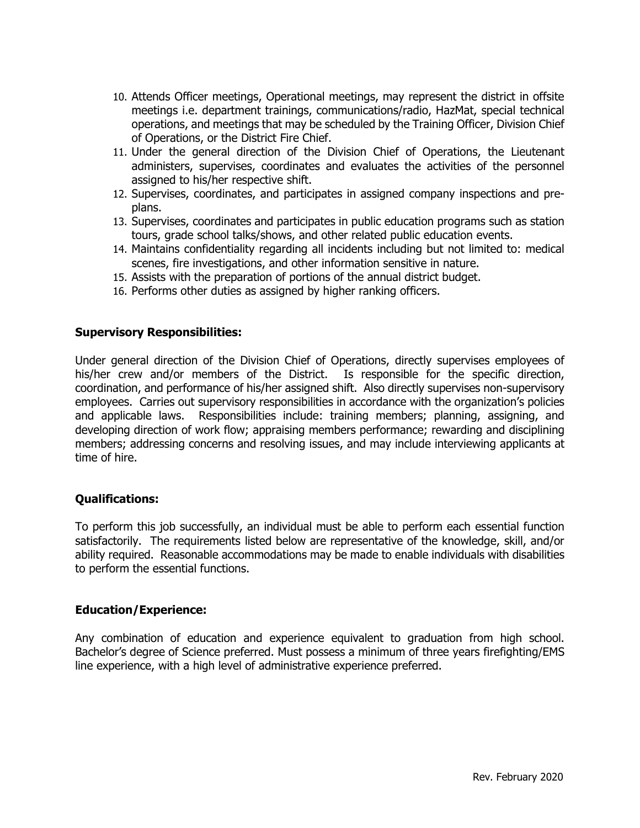- 10. Attends Officer meetings, Operational meetings, may represent the district in offsite meetings i.e. department trainings, communications/radio, HazMat, special technical operations, and meetings that may be scheduled by the Training Officer, Division Chief of Operations, or the District Fire Chief.
- 11. Under the general direction of the Division Chief of Operations, the Lieutenant administers, supervises, coordinates and evaluates the activities of the personnel assigned to his/her respective shift.
- 12. Supervises, coordinates, and participates in assigned company inspections and preplans.
- 13. Supervises, coordinates and participates in public education programs such as station tours, grade school talks/shows, and other related public education events.
- 14. Maintains confidentiality regarding all incidents including but not limited to: medical scenes, fire investigations, and other information sensitive in nature.
- 15. Assists with the preparation of portions of the annual district budget.
- 16. Performs other duties as assigned by higher ranking officers.

#### **Supervisory Responsibilities:**

Under general direction of the Division Chief of Operations, directly supervises employees of his/her crew and/or members of the District. Is responsible for the specific direction, coordination, and performance of his/her assigned shift. Also directly supervises non-supervisory employees. Carries out supervisory responsibilities in accordance with the organization's policies and applicable laws. Responsibilities include: training members; planning, assigning, and developing direction of work flow; appraising members performance; rewarding and disciplining members; addressing concerns and resolving issues, and may include interviewing applicants at time of hire.

### **Qualifications:**

To perform this job successfully, an individual must be able to perform each essential function satisfactorily. The requirements listed below are representative of the knowledge, skill, and/or ability required. Reasonable accommodations may be made to enable individuals with disabilities to perform the essential functions.

#### **Education/Experience:**

Any combination of education and experience equivalent to graduation from high school. Bachelor's degree of Science preferred. Must possess a minimum of three years firefighting/EMS line experience, with a high level of administrative experience preferred.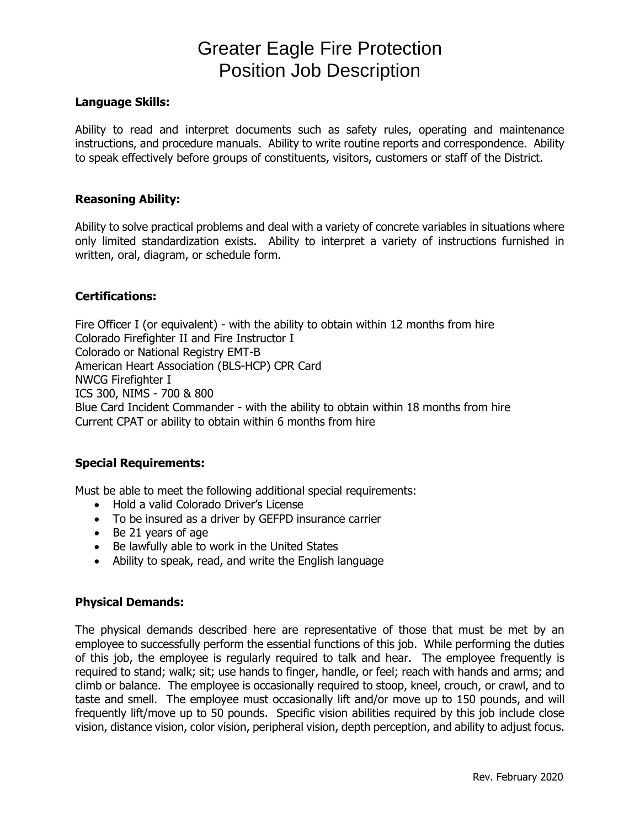# Greater Eagle Fire Protection Position Job Description

#### **Language Skills:**

Ability to read and interpret documents such as safety rules, operating and maintenance instructions, and procedure manuals. Ability to write routine reports and correspondence. Ability to speak effectively before groups of constituents, visitors, customers or staff of the District.

#### **Reasoning Ability:**

Ability to solve practical problems and deal with a variety of concrete variables in situations where only limited standardization exists. Ability to interpret a variety of instructions furnished in written, oral, diagram, or schedule form.

#### **Certifications:**

Fire Officer I (or equivalent) - with the ability to obtain within 12 months from hire Colorado Firefighter II and Fire Instructor I Colorado or National Registry EMT-B American Heart Association (BLS-HCP) CPR Card NWCG Firefighter I ICS 300, NIMS - 700 & 800 Blue Card Incident Commander - with the ability to obtain within 18 months from hire Current CPAT or ability to obtain within 6 months from hire

#### **Special Requirements:**

Must be able to meet the following additional special requirements:

- Hold a valid Colorado Driver's License
- To be insured as a driver by GEFPD insurance carrier
- Be 21 years of age
- Be lawfully able to work in the United States
- Ability to speak, read, and write the English language

#### **Physical Demands:**

The physical demands described here are representative of those that must be met by an employee to successfully perform the essential functions of this job. While performing the duties of this job, the employee is regularly required to talk and hear. The employee frequently is required to stand; walk; sit; use hands to finger, handle, or feel; reach with hands and arms; and climb or balance. The employee is occasionally required to stoop, kneel, crouch, or crawl, and to taste and smell. The employee must occasionally lift and/or move up to 150 pounds, and will frequently lift/move up to 50 pounds. Specific vision abilities required by this job include close vision, distance vision, color vision, peripheral vision, depth perception, and ability to adjust focus.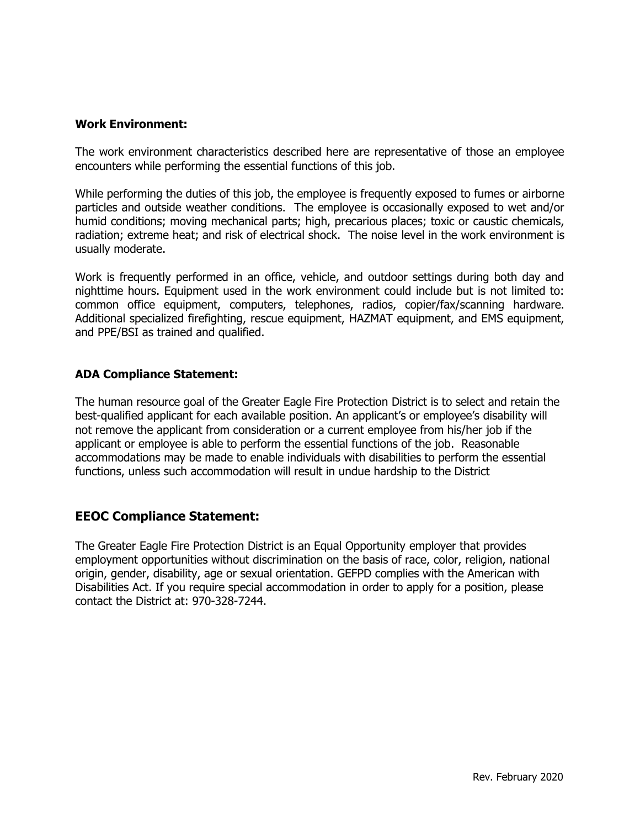#### **Work Environment:**

The work environment characteristics described here are representative of those an employee encounters while performing the essential functions of this job.

While performing the duties of this job, the employee is frequently exposed to fumes or airborne particles and outside weather conditions. The employee is occasionally exposed to wet and/or humid conditions; moving mechanical parts; high, precarious places; toxic or caustic chemicals, radiation; extreme heat; and risk of electrical shock. The noise level in the work environment is usually moderate.

Work is frequently performed in an office, vehicle, and outdoor settings during both day and nighttime hours. Equipment used in the work environment could include but is not limited to: common office equipment, computers, telephones, radios, copier/fax/scanning hardware. Additional specialized firefighting, rescue equipment, HAZMAT equipment, and EMS equipment, and PPE/BSI as trained and qualified.

#### **ADA Compliance Statement:**

The human resource goal of the Greater Eagle Fire Protection District is to select and retain the best-qualified applicant for each available position. An applicant's or employee's disability will not remove the applicant from consideration or a current employee from his/her job if the applicant or employee is able to perform the essential functions of the job. Reasonable accommodations may be made to enable individuals with disabilities to perform the essential functions, unless such accommodation will result in undue hardship to the District

## **EEOC Compliance Statement:**

The Greater Eagle Fire Protection District is an Equal Opportunity employer that provides employment opportunities without discrimination on the basis of race, color, religion, national origin, gender, disability, age or sexual orientation. GEFPD complies with the American with Disabilities Act. If you require special accommodation in order to apply for a position, please contact the District at: 970-328-7244.